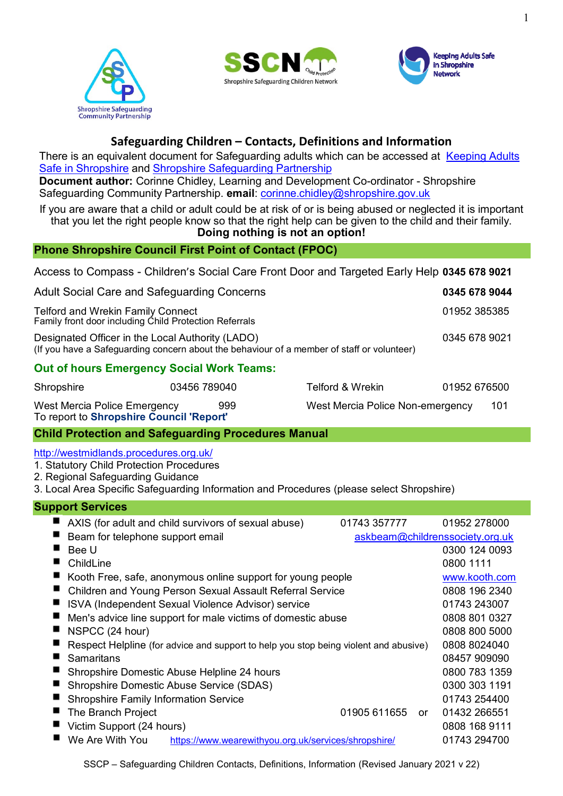





# **Safeguarding Children – Contacts, Definitions and Information**

There is an equivalent document for Safeguarding adults which can be accessed at Keeping Adults Safe in [Shropshire](http://www.keepingadultssafeinshropshire.org.uk/learning-resources/) and [Shropshire Safeguarding Partnership](http://www.safeguardingshropshireschildren.org.uk/professionals-and-volunteers/safeguarding-training/)

**Document author:** Corinne Chidley, Learning and Development Co-ordinator - Shropshire Safeguarding Community Partnership. **email**: [corinne.chidley@shropshire.gov.uk](mailto:corinne.chidley@shropshire.gov.uk)

If you are aware that a child or adult could be at risk of or is being abused or neglected it is important that you let the right people know so that the right help can be given to the child and their family. **Doing nothing is not an option!**

# **Phone Shropshire Council First Point of Contact (FPOC)**

Access to Compass - Children's Social Care Front Door and Targeted Early Help **0345 678 9021**

| Adult Social Care and Safeguarding Concerns                                                                                                    | 0345 678 9044 |  |  |  |
|------------------------------------------------------------------------------------------------------------------------------------------------|---------------|--|--|--|
| <b>Telford and Wrekin Family Connect</b><br>Family front door including Child Protection Referrals                                             | 01952 385385  |  |  |  |
| Designated Officer in the Local Authority (LADO)<br>(If you have a Safeguarding concern about the behaviour of a member of staff or volunteer) | 0345 678 9021 |  |  |  |
| <b>Out of hours Emergency Social Work Teams:</b>                                                                                               |               |  |  |  |

| Shropshire                                                               | 03456 789040 | Telford & Wrekin.                | 01952 676500 |
|--------------------------------------------------------------------------|--------------|----------------------------------|--------------|
| West Mercia Police Emergency<br>To report to Shropshire Council 'Report' | 999          | West Mercia Police Non-emergency | -101         |

# **Child Protection and Safeguarding Procedures Manual**

<http://westmidlands.procedures.org.uk/>

- 1. [Statutory Child Protection Procedures](http://westmidlands.procedures.org.uk/page/contents#p1)
- 2. [Regional Safeguarding Guidance](http://westmidlands.procedures.org.uk/page/contents#p2)
- 3. [Local Area Specific Safeguarding Information and Procedures](http://westmidlands.procedures.org.uk/page/contents#p3) (please select Shropshire)

# **Support Services**

| AXIS (for adult and child survivors of sexual abuse)                                 | 01743 357777                    | 01952 278000  |
|--------------------------------------------------------------------------------------|---------------------------------|---------------|
| Beam for telephone support email                                                     | askbeam@childrenssociety.org.uk |               |
| Bee U                                                                                |                                 | 0300 124 0093 |
| ChildLine                                                                            |                                 | 0800 1111     |
| Kooth Free, safe, anonymous online support for young people                          |                                 | www.kooth.com |
| Children and Young Person Sexual Assault Referral Service                            |                                 | 0808 196 2340 |
| ISVA (Independent Sexual Violence Advisor) service                                   |                                 | 01743 243007  |
| Men's advice line support for male victims of domestic abuse                         |                                 | 0808 801 0327 |
| NSPCC (24 hour)                                                                      |                                 | 0808 800 5000 |
| Respect Helpline (for advice and support to help you stop being violent and abusive) |                                 | 0808 8024040  |
| Samaritans                                                                           |                                 | 08457 909090  |
| Shropshire Domestic Abuse Helpline 24 hours                                          |                                 | 0800 783 1359 |
| Shropshire Domestic Abuse Service (SDAS)                                             |                                 | 0300 303 1191 |
| <b>Shropshire Family Information Service</b>                                         |                                 | 01743 254400  |
| The Branch Project                                                                   | 01905 611655<br>or              | 01432 266551  |
| Victim Support (24 hours)                                                            |                                 | 0808 168 9111 |
| We Are With You<br>https://www.wearewithyou.org.uk/services/shropshire/              |                                 | 01743 294700  |
|                                                                                      |                                 |               |

SSCP – Safeguarding Children Contacts, Definitions, Information (Revised January 2021 v 22)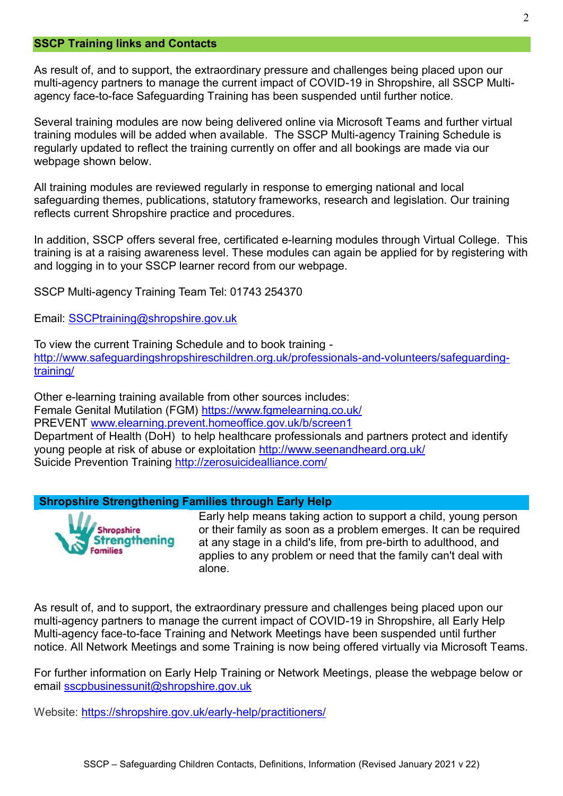#### **SSCP Training links and Contacts**

As result of, and to support, the extraordinary pressure and challenges being placed upon our multi-agency partners to manage the current impact of COVID-19 in Shropshire, all SSCP Multiagency face-to-face Safeguarding Training has been suspended until further notice.

Several training modules are now being delivered online via Microsoft Teams and further virtual training modules will be added when available. The SSCP Multi-agency Training Schedule is regularly updated to reflect the training currently on offer and all bookings are made via our webpage shown below.

All training modules are reviewed regularly in response to emerging national and local safeguarding themes, publications, statutory frameworks, research and legislation. Our training reflects current Shropshire practice and procedures.

In addition, SSCP offers several free, certificated e-learning modules through Virtual College. This training is at a raising awareness level. These modules can again be applied for by registering with and logging in to your SSCP learner record from our webpage.

SSCP Multi-agency Training Team Tel: 01743 254370

Email: [SSCPtraining@shropshire.gov.uk](mailto:tracey.bowen@shropshire.gov.uk)

To view the current Training Schedule and to book training [http://www.safeguardingshropshireschildren.org.uk/professionals-and-volunteers/safeguarding](http://www.safeguardingshropshireschildren.org.uk/professionals-and-volunteers/safeguarding-training/)[training/](http://www.safeguardingshropshireschildren.org.uk/professionals-and-volunteers/safeguarding-training/)

Other e-learning training available from other sources includes: Female Genital Mutilation (FGM) <https://www.fgmelearning.co.uk/> PREVENT [www.elearning.prevent.homeoffice.gov.uk/b/screen1](http://www.elearning.prevent.homeoffice.gov.uk/b/screen1) Department of Health (DoH) [to help healthcare professionals and partners protect and](http://www.seenandheard.org.uk/) identify [young people at risk of abuse or exploitation](http://www.seenandheard.org.uk/) <http://www.seenandheard.org.uk/> Suicide Prevention Training<http://zerosuicidealliance.com/>

#### **Shropshire Strengthening Families through Early Help**



Early help means taking action to support a child, young person or their family as soon as a problem emerges. It can be required at any stage in a child's life, from pre-birth to adulthood, and applies to any problem or need that the family can't deal with alone.

As result of, and to support, the extraordinary pressure and challenges being placed upon our multi-agency partners to manage the current impact of COVID-19 in Shropshire, all Early Help Multi-agency face-to-face Training and Network Meetings have been suspended until further notice. All Network Meetings and some Training is now being offered virtually via Microsoft Teams.

For further information on Early Help Training or Network Meetings, please the webpage below or email [sscpbusinessunit@shropshire.gov.uk](mailto:sscpbusinessunit@shropshire.gov.uk)

Website:<https://shropshire.gov.uk/early-help/practitioners/>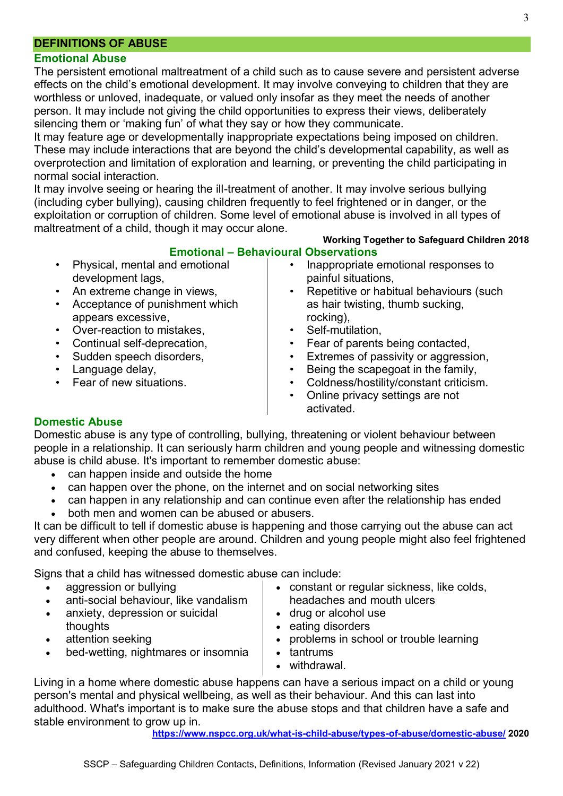# **DEFINITIONS OF ABUSE**

### **Emotional Abuse**

The persistent emotional maltreatment of a child such as to cause severe and persistent adverse effects on the child's emotional development. It may involve conveying to children that they are worthless or unloved, inadequate, or valued only insofar as they meet the needs of another person. It may include not giving the child opportunities to express their views, deliberately silencing them or 'making fun' of what they say or how they communicate.

It may feature age or developmentally inappropriate expectations being imposed on children. These may include interactions that are beyond the child's developmental capability, as well as overprotection and limitation of exploration and learning, or preventing the child participating in normal social interaction.

It may involve seeing or hearing the ill-treatment of another. It may involve serious bullying (including cyber bullying), causing children frequently to feel frightened or in danger, or the exploitation or corruption of children. Some level of emotional abuse is involved in all types of maltreatment of a child, though it may occur alone.

#### **Working Together to Safeguard Children 2018 Emotional – Behavioural Observations**

- Physical, mental and emotional development lags,
- An extreme change in views,
- Acceptance of punishment which appears excessive,
- Over-reaction to mistakes,
- Continual self-deprecation,
- Sudden speech disorders,
- Language delay,
- Fear of new situations.
- Inappropriate emotional responses to painful situations,
- Repetitive or habitual behaviours (such as hair twisting, thumb sucking, rocking),
- Self-mutilation.
- Fear of parents being contacted,
- Extremes of passivity or aggression,
- Being the scapegoat in the family,
- Coldness/hostility/constant criticism.
- Online privacy settings are not activated.

### **Domestic Abuse**

Domestic abuse is any type of controlling, bullying, threatening or violent behaviour between people in a relationship. It can seriously harm children and young people and witnessing domestic abuse is child abuse. It's important to remember domestic abuse:

- can happen inside and outside the home
- can happen over the phone, on the internet and on social networking sites
- can happen in any relationship and can continue even after the relationship has ended
- both men and women can be abused or abusers.

It can be difficult to tell if domestic abuse is happening and those carrying out the abuse can act very different when other people are around. Children and young people might also feel frightened and confused, keeping the abuse to themselves.

Signs that a child has witnessed domestic abuse can include:

- aggression or [bullying](https://www.nspcc.org.uk/what-is-child-abuse/types-of-abuse/bullying-and-cyberbullying/)
- anti-social behaviour, like vandalism
- [anxiety, depression or suicidal](https://www.nspcc.org.uk/keeping-children-safe/keeping-children-safe/mental-health-suicidal-thoughts-children/)  [thoughts](https://www.nspcc.org.uk/keeping-children-safe/keeping-children-safe/mental-health-suicidal-thoughts-children/)
- attention seeking
- bed-wetting, nightmares or insomnia
- constant or regular sickness, like colds, headaches and mouth ulcers
- 
- eating disorders
- problems in school or trouble learning
- tantrums

Living in a home where domestic abuse happens can have a serious impact on a child or young person's [mental](https://www.nspcc.org.uk/keeping-children-safe/keeping-children-safe/mental-health-suicidal-thoughts-children/) and physical wellbeing, as well as their behaviour. And this can last into adulthood. What's important is to make sure the abuse stops and that children have a safe and stable environment to grow up in.

**<https://www.nspcc.org.uk/what-is-child-abuse/types-of-abuse/domestic-abuse/> 2020**

- 
- [drug or alcohol use](https://www.nspcc.org.uk/keeping-children-safe/support-for-parents/alcohol-drugs-parenting/)
- 
- 
- 
- withdrawal.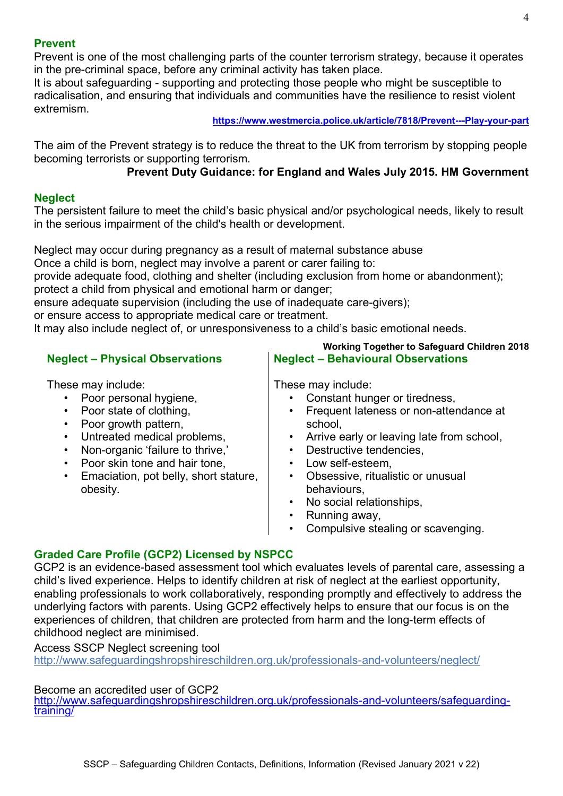# **Prevent**

Prevent is one of the most challenging parts of the counter terrorism strategy, because it operates in the pre-criminal space, before any criminal activity has taken place.

It is about safeguarding - supporting and protecting those people who might be susceptible to radicalisation, and ensuring that individuals and communities have the resilience to resist violent extremism.

#### **<https://www.westmercia.police.uk/article/7818/Prevent---Play-your-part>**

The aim of the Prevent strategy is to reduce the threat to the UK from terrorism by stopping people becoming terrorists or supporting terrorism.

# **Prevent Duty Guidance: for England and Wales July 2015. HM Government**

# **Neglect**

The persistent failure to meet the child's basic physical and/or psychological needs, likely to result in the serious impairment of the child's health or development.

Neglect may occur during pregnancy as a result of maternal substance abuse

Once a child is born, neglect may involve a parent or carer failing to:

provide adequate food, clothing and shelter (including exclusion from home or abandonment);

protect a child from physical and emotional harm or danger;

ensure adequate supervision (including the use of inadequate care-givers);

or ensure access to appropriate medical care or treatment.

It may also include neglect of, or unresponsiveness to a child's basic emotional needs.

# **Neglect – Physical Observations**

These may include:

- Poor personal hygiene,
- Poor state of clothing,
- Poor growth pattern.
- Untreated medical problems,
- Non-organic 'failure to thrive,'
- Poor skin tone and hair tone.
- Emaciation, pot belly, short stature, obesity.

**Working Together to Safeguard Children 2018 Neglect – Behavioural Observations**

These may include:

- Constant hunger or tiredness,
- Frequent lateness or non-attendance at school,
- Arrive early or leaving late from school,
- Destructive tendencies,
- Low self-esteem,
- Obsessive, ritualistic or unusual behaviours,
- No social relationships.
- Running away,
- Compulsive stealing or scavenging.

# **Graded Care Profile (GCP2) Licensed by NSPCC**

GCP2 is an evidence-based assessment tool which evaluates levels of parental care, assessing a child's lived experience. Helps to identify children at risk of neglect at the earliest opportunity, enabling professionals to work collaboratively, responding promptly and effectively to address the underlying factors with parents. Using GCP2 effectively helps to ensure that our focus is on the experiences of children, that children are protected from harm and the long-term effects of childhood neglect are minimised.

#### Access SSCP Neglect screening tool

<http://www.safeguardingshropshireschildren.org.uk/professionals-and-volunteers/neglect/>

# Become an accredited user of GCP2

[http://www.safeguardingshropshireschildren.org.uk/professionals-and-volunteers/safeguarding](http://www.safeguardingshropshireschildren.org.uk/professionals-and-volunteers/safeguarding-training/)[training/](http://www.safeguardingshropshireschildren.org.uk/professionals-and-volunteers/safeguarding-training/)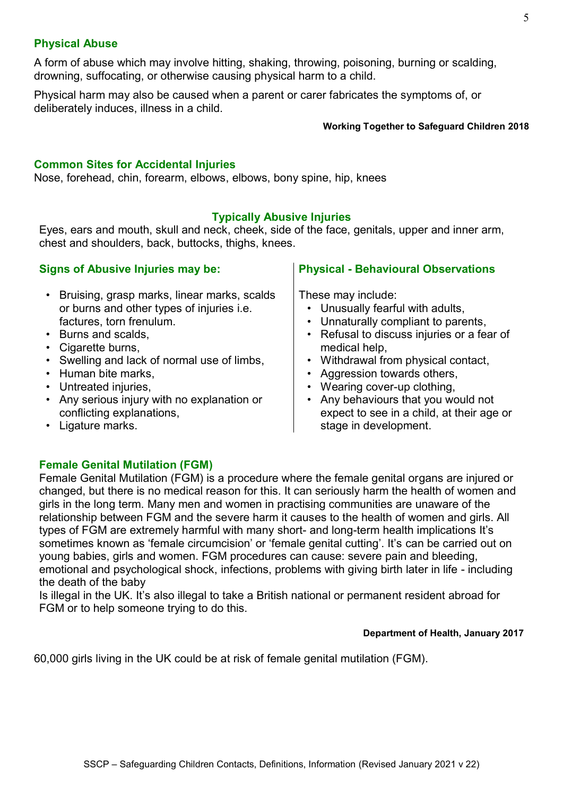# **Physical Abuse**

A form of abuse which may involve hitting, shaking, throwing, poisoning, burning or scalding, drowning, suffocating, or otherwise causing physical harm to a child.

Physical harm may also be caused when a parent or carer fabricates the symptoms of, or deliberately induces, illness in a child.

#### **Working Together to Safeguard Children 2018**

### **Common Sites for Accidental Injuries**

Nose, forehead, chin, forearm, elbows, elbows, bony spine, hip, knees

#### **Typically Abusive Injuries**

Eyes, ears and mouth, skull and neck, cheek, side of the face, genitals, upper and inner arm, chest and shoulders, back, buttocks, thighs, knees.

# **Signs of Abusive Injuries may be:**

# • Bruising, grasp marks, linear marks, scalds or burns and other types of injuries i.e. factures, torn frenulum.

- Burns and scalds,
- Cigarette burns,
- Swelling and lack of normal use of limbs,
- Human bite marks,
- Untreated injuries,
- Any serious injury with no explanation or conflicting explanations,

# **Physical - Behavioural Observations**

These may include:

- Unusually fearful with adults,
- Unnaturally compliant to parents,
- Refusal to discuss injuries or a fear of medical help,
- Withdrawal from physical contact,
- Aggression towards others,
- Wearing cover-up clothing,
- Any behaviours that you would not expect to see in a child, at their age or stage in development.

• Ligature marks.

# **Female Genital Mutilation (FGM)**

Female Genital Mutilation (FGM) is a procedure where the female genital organs are injured or changed, but there is no medical reason for this. It can seriously harm the health of women and girls in the long term. Many men and women in practising communities are unaware of the relationship between FGM and the severe harm it causes to the health of women and girls. All types of FGM are extremely harmful with many short- and long-term health implications It's sometimes known as 'female circumcision' or 'female genital cutting'. It's can be carried out on young babies, girls and women. FGM procedures can cause: severe pain and bleeding, emotional and psychological shock, infections, problems with giving birth later in life - including the death of the baby

Is illegal in the UK. It's also illegal to take a British national or permanent resident abroad for FGM or to help someone trying to do this.

#### **Department of Health, January 2017**

60,000 girls living in the UK could be at risk of female genital mutilation (FGM).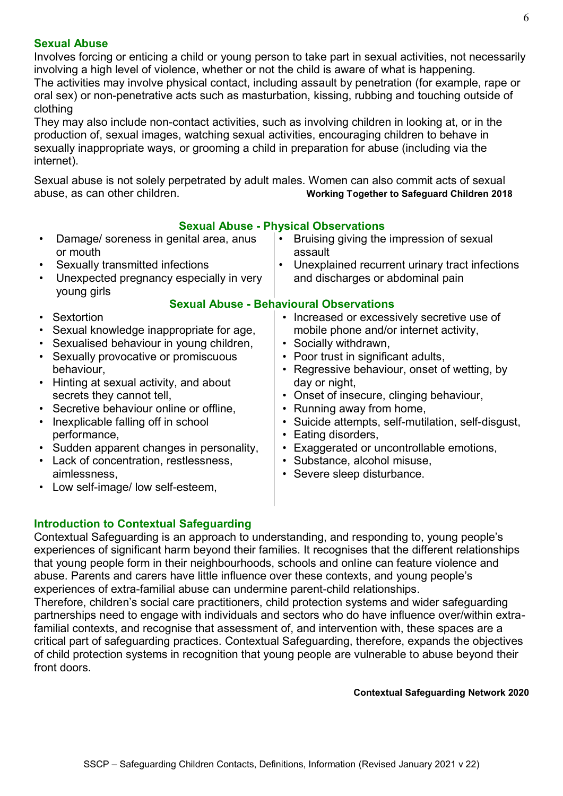# **Sexual Abuse**

Involves forcing or enticing a child or young person to take part in sexual activities, not necessarily involving a high level of violence, whether or not the child is aware of what is happening. The activities may involve physical contact, including assault by penetration (for example, rape or oral sex) or non-penetrative acts such as masturbation, kissing, rubbing and touching outside of clothing

They may also include non-contact activities, such as involving children in looking at, or in the production of, sexual images, watching sexual activities, encouraging children to behave in sexually inappropriate ways, or grooming a child in preparation for abuse (including via the internet).

Sexual abuse is not solely perpetrated by adult males. Women can also commit acts of sexual abuse, as can other children. **Working Together to Safeguard Children 2018**

|                                                                                                      | Sexual Abuse - Physical Observations                                                                                                                                                                                                                                                                                                                                                                                                                                   |   |                                                                                                                                                                                                                                                                                                                                                                                                                                                                          |  |  |
|------------------------------------------------------------------------------------------------------|------------------------------------------------------------------------------------------------------------------------------------------------------------------------------------------------------------------------------------------------------------------------------------------------------------------------------------------------------------------------------------------------------------------------------------------------------------------------|---|--------------------------------------------------------------------------------------------------------------------------------------------------------------------------------------------------------------------------------------------------------------------------------------------------------------------------------------------------------------------------------------------------------------------------------------------------------------------------|--|--|
| $\bullet$                                                                                            | Damage/ soreness in genital area, anus<br>or mouth                                                                                                                                                                                                                                                                                                                                                                                                                     |   | Bruising giving the impression of sexual<br>assault                                                                                                                                                                                                                                                                                                                                                                                                                      |  |  |
| $\bullet$                                                                                            | Sexually transmitted infections                                                                                                                                                                                                                                                                                                                                                                                                                                        | ٠ | Unexplained recurrent urinary tract infections                                                                                                                                                                                                                                                                                                                                                                                                                           |  |  |
| $\bullet$                                                                                            | Unexpected pregnancy especially in very<br>young girls                                                                                                                                                                                                                                                                                                                                                                                                                 |   | and discharges or abdominal pain                                                                                                                                                                                                                                                                                                                                                                                                                                         |  |  |
|                                                                                                      |                                                                                                                                                                                                                                                                                                                                                                                                                                                                        |   | <b>Sexual Abuse - Behavioural Observations</b>                                                                                                                                                                                                                                                                                                                                                                                                                           |  |  |
| $\bullet$<br>$\bullet$<br>$\bullet$<br>$\bullet$<br>$\bullet$<br>$\bullet$<br>$\bullet$<br>$\bullet$ | Sextortion<br>Sexual knowledge inappropriate for age,<br>Sexualised behaviour in young children,<br>Sexually provocative or promiscuous<br>behaviour,<br>Hinting at sexual activity, and about<br>secrets they cannot tell,<br>• Secretive behaviour online or offline,<br>Inexplicable falling off in school<br>performance,<br>• Sudden apparent changes in personality,<br>Lack of concentration, restlessness,<br>aimlessness,<br>Low self-image/ low self-esteem, |   | • Increased or excessively secretive use of<br>mobile phone and/or internet activity,<br>Socially withdrawn,<br>Poor trust in significant adults,<br>Regressive behaviour, onset of wetting, by<br>day or night,<br>• Onset of insecure, clinging behaviour,<br>Running away from home,<br>Suicide attempts, self-mutilation, self-disgust,<br>Eating disorders,<br>Exaggerated or uncontrollable emotions,<br>• Substance, alcohol misuse,<br>Severe sleep disturbance. |  |  |
|                                                                                                      |                                                                                                                                                                                                                                                                                                                                                                                                                                                                        |   |                                                                                                                                                                                                                                                                                                                                                                                                                                                                          |  |  |

# **Sexual Abuse - Physical Observations**

# **Introduction to Contextual Safeguarding**

Contextual Safeguarding is an approach to understanding, and responding to, young people's experiences of significant harm beyond their families. It recognises that the different relationships that young people form in their neighbourhoods, schools and online can feature violence and abuse. Parents and carers have little influence over these contexts, and young people's experiences of extra-familial abuse can undermine parent-child relationships.

Therefore, children's social care practitioners, child protection systems and wider safeguarding partnerships need to engage with individuals and sectors who do have influence over/within extrafamilial contexts, and recognise that assessment of, and intervention with, these spaces are a critical part of safeguarding practices. Contextual Safeguarding, therefore, expands the objectives of child protection systems in recognition that young people are vulnerable to abuse beyond their front doors.

#### **Contextual Safeguarding Network 2020**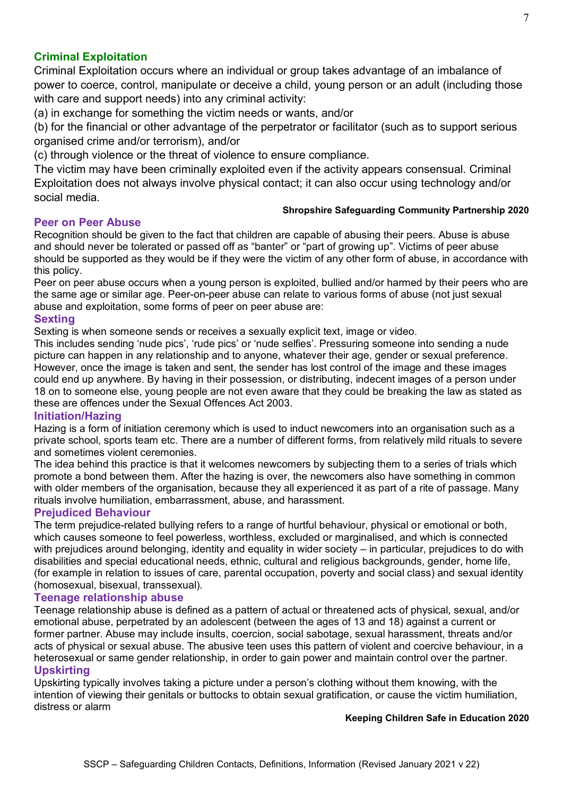# **Criminal Exploitation**

Criminal Exploitation occurs where an individual or group takes advantage of an imbalance of power to coerce, control, manipulate or deceive a child, young person or an adult (including those with care and support needs) into any criminal activity:

(a) in exchange for something the victim needs or wants, and/or

(b) for the financial or other advantage of the perpetrator or facilitator (such as to support serious organised crime and/or terrorism), and/or

(c) through violence or the threat of violence to ensure compliance.

The victim may have been criminally exploited even if the activity appears consensual. Criminal Exploitation does not always involve physical contact; it can also occur using technology and/or social media.

#### **Shropshire Safeguarding Community Partnership 2020**

# **Peer on Peer Abuse**

Recognition should be given to the fact that children are capable of abusing their peers. Abuse is abuse and should never be tolerated or passed off as "banter" or "part of growing up". Victims of peer abuse should be supported as they would be if they were the victim of any other form of abuse, in accordance with this policy.

Peer on peer abuse occurs when a young person is exploited, bullied and/or harmed by their peers who are the same age or similar age. Peer-on-peer abuse can relate to various forms of abuse (not just sexual abuse and exploitation, some forms of peer on peer abuse are:

#### **Sexting**

Sexting is when someone sends or receives a sexually explicit text, image or video.

This includes sending 'nude pics', 'rude pics' or 'nude selfies'. Pressuring someone into sending a nude picture can happen in any relationship and to anyone, whatever their age, gender or sexual preference. However, once the image is taken and sent, the sender has lost control of the image and these images could end up anywhere. By having in their possession, or distributing, indecent images of a person under 18 on to someone else, young people are not even aware that they could be breaking the law as stated as these are offences under the Sexual Offences Act 2003.

#### **Initiation/Hazing**

Hazing is a form of initiation ceremony which is used to induct newcomers into an organisation such as a private school, sports team etc. There are a number of different forms, from relatively mild rituals to severe and sometimes violent ceremonies.

The idea behind this practice is that it welcomes newcomers by subjecting them to a series of trials which promote a bond between them. After the hazing is over, the newcomers also have something in common with older members of the organisation, because they all experienced it as part of a rite of passage. Many rituals involve humiliation, embarrassment, abuse, and harassment.

#### **Prejudiced Behaviour**

The term prejudice-related bullying refers to a range of hurtful behaviour, physical or emotional or both, which causes someone to feel powerless, worthless, excluded or marginalised, and which is connected with prejudices around belonging, identity and equality in wider society – in particular, prejudices to do with disabilities and special educational needs, ethnic, cultural and religious backgrounds, gender, home life, (for example in relation to issues of care, parental occupation, poverty and social class) and sexual identity (homosexual, bisexual, transsexual).

#### **Teenage relationship abuse**

Teenage relationship abuse is defined as a pattern of actual or threatened acts of physical, sexual, and/or emotional abuse, perpetrated by an adolescent (between the ages of 13 and 18) against a current or former partner. Abuse may include insults, coercion, social sabotage, sexual harassment, threats and/or acts of physical or sexual abuse. The abusive teen uses this pattern of violent and coercive behaviour, in a heterosexual or same gender relationship, in order to gain power and maintain control over the partner. **Upskirting**

Upskirting typically involves taking a picture under a person's clothing without them knowing, with the intention of viewing their genitals or buttocks to obtain sexual gratification, or cause the victim humiliation, distress or alarm

#### **Keeping Children Safe in Education 2020**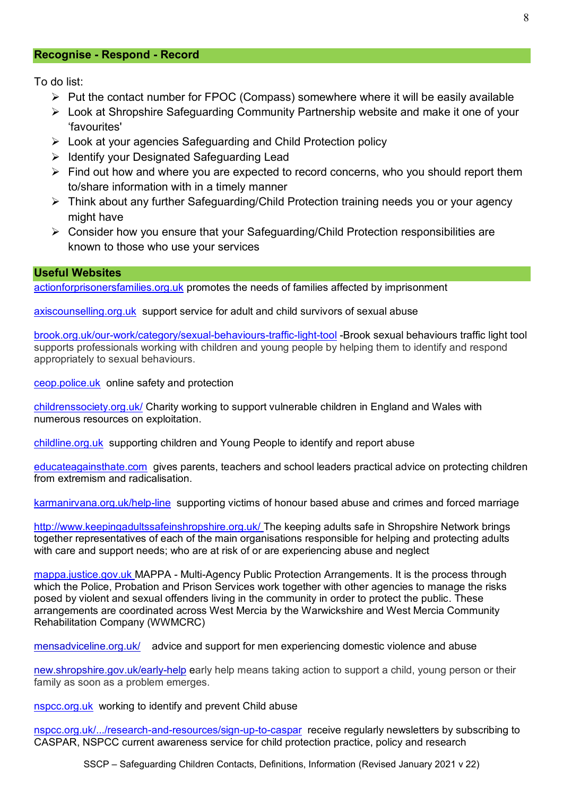#### **Recognise - Respond - Record**

To do list:

- ➢ Put the contact number for FPOC (Compass) somewhere where it will be easily available
- ➢ Look at Shropshire Safeguarding Community Partnership website and make it one of your 'favourites'
- ➢ Look at your agencies Safeguarding and Child Protection policy
- ➢ Identify your Designated Safeguarding Lead
- ➢ Find out how and where you are expected to record concerns, who you should report them to/share information with in a timely manner
- ➢ Think about any further Safeguarding/Child Protection training needs you or your agency might have
- ➢ Consider how you ensure that your Safeguarding/Child Protection responsibilities are known to those who use your services

#### **Useful Websites**

[actionforprisonersfamilies.org.uk](http://www.actionforprisonersfamilies.org.uk/) promotes the needs of families affected by imprisonment

#### [axiscounselling.org.uk](http://www.axiscounselling.org.uk/) support service for adult and child survivors of sexual abuse

[brook.org.uk/our-work/category/sexual-behaviours-traffic-light-tool](http://www.brook.org.uk/our-work/category/sexual-behaviours-traffic-light-tool) -Brook sexual behaviours traffic light tool supports professionals working with children and young people by helping them to identify and respond appropriately to sexual behaviours.

[ceop.police.uk](http://www.ceop.police.uk/) online safety and protection

[childrenssociety.org.uk/](https://www.childrenssociety.org.uk/) Charity working to support vulnerable children in England and Wales with numerous resources on exploitation.

[childline.org.uk](http://www.childline.org.uk/) supporting children and Young People to identify and report abuse

[educateagainsthate.com](http://www.educateagainsthate.com/) gives [parents,](http://educateagainsthate.com/parents) [teachers](http://educateagainsthate.com/teachers) and [school leaders](http://educateagainsthate.com/governors) practical advice on protecting children from extremism and radicalisation.

[karmanirvana.org.uk/help-line](http://www.karmanirvana.org.uk/help-line) supporting victims of honour based abuse and crimes and forced marriage

<http://www.keepingadultssafeinshropshire.org.uk/> The keeping adults safe in Shropshire Network brings together representatives of each of the main organisations responsible for helping and protecting adults with care and support needs; who are at risk of or are experiencing abuse and neglect

[mappa.justice.gov.uk](http://www.mappa.justice.gov.uk/) MAPPA - Multi-Agency Public Protection Arrangements. It is the process through which the Police, Probation and Prison Services work together with other agencies to manage the risks posed by violent and sexual offenders living in the community in order to protect the public. These arrangements are coordinated across West Mercia by the [Warwickshire and West Mercia Community](http://www.westmerciaprobation.org.uk/page.php?Plv=3&P1=5&P2=20&P3=7)  [Rehabilitation Company \(WWMCRC\)](http://www.westmerciaprobation.org.uk/page.php?Plv=3&P1=5&P2=20&P3=7)

[mensadviceline.org.uk/](http://www.mensadviceline.org.uk/) advice and support for men experiencing domestic violence and abuse

[new.shropshire.gov.uk/early-help](http://new.shropshire.gov.uk/early-help) early help means taking action to support a child, young person or their family [as soon as a problem emerges.](http://www.westmercia.police.uk/article/5970/Managing-sexual-offenders-and-violent-offenders) 

[nspcc.org.uk](http://www.nspcc.org.uk/) working to identify and prevent Child abuse

[nspcc.org.uk/.../research-and-resources/sign-up-to-caspar](http://www.nspcc.org.uk/.../research-and-resources/sign-up-to-caspar) receive regularly newsletters by subscribing to CASPAR, NSPCC current awareness service for child protection practice, policy and research

SSCP – Safeguarding Children Contacts, Definitions, Information (Revised January 2021 v 22)